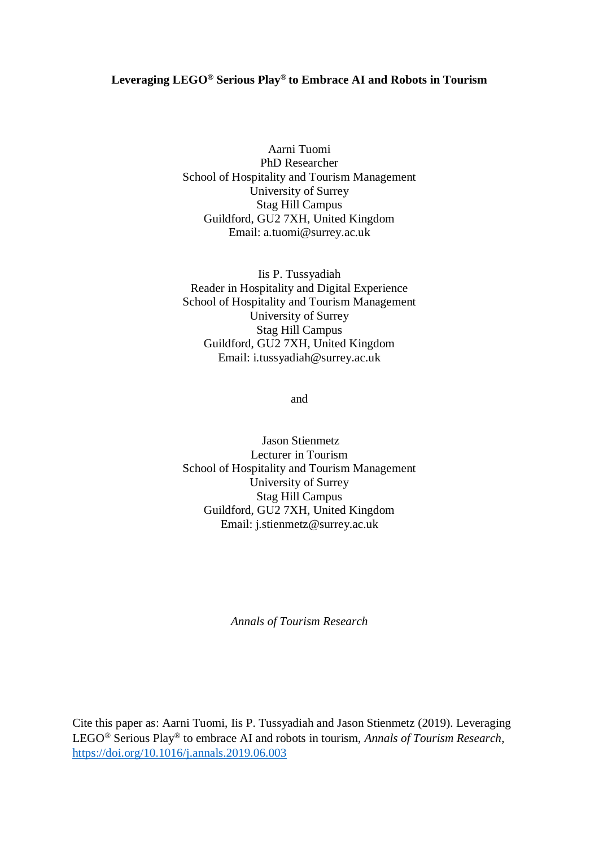### **Leveraging LEGO® Serious Play® to Embrace AI and Robots in Tourism**

Aarni Tuomi PhD Researcher School of Hospitality and Tourism Management University of Surrey Stag Hill Campus Guildford, GU2 7XH, United Kingdom Email: a.tuomi@surrey.ac.uk

Iis P. Tussyadiah Reader in Hospitality and Digital Experience School of Hospitality and Tourism Management University of Surrey Stag Hill Campus Guildford, GU2 7XH, United Kingdom Email: i.tussyadiah@surrey.ac.uk

and

Jason Stienmetz Lecturer in Tourism School of Hospitality and Tourism Management University of Surrey Stag Hill Campus Guildford, GU2 7XH, United Kingdom Email: j.stienmetz@surrey.ac.uk

*Annals of Tourism Research*

Cite this paper as: Aarni Tuomi, Iis P. Tussyadiah and Jason Stienmetz (2019). Leveraging LEGO® Serious Play® to embrace AI and robots in tourism, *Annals of Tourism Research*, <https://doi.org/10.1016/j.annals.2019.06.003>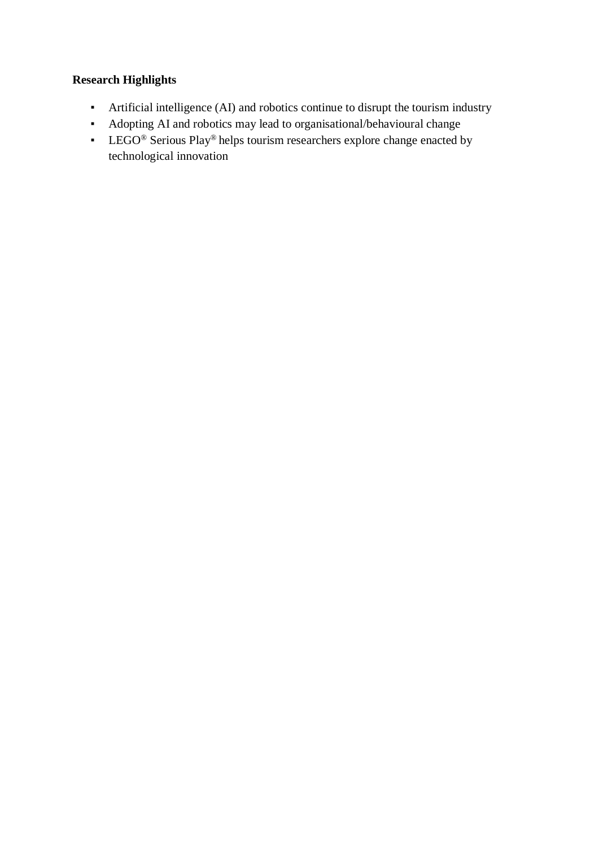# **Research Highlights**

- Artificial intelligence (AI) and robotics continue to disrupt the tourism industry
- Adopting AI and robotics may lead to organisational/behavioural change
- LEGO<sup>®</sup> Serious Play<sup>®</sup> helps tourism researchers explore change enacted by technological innovation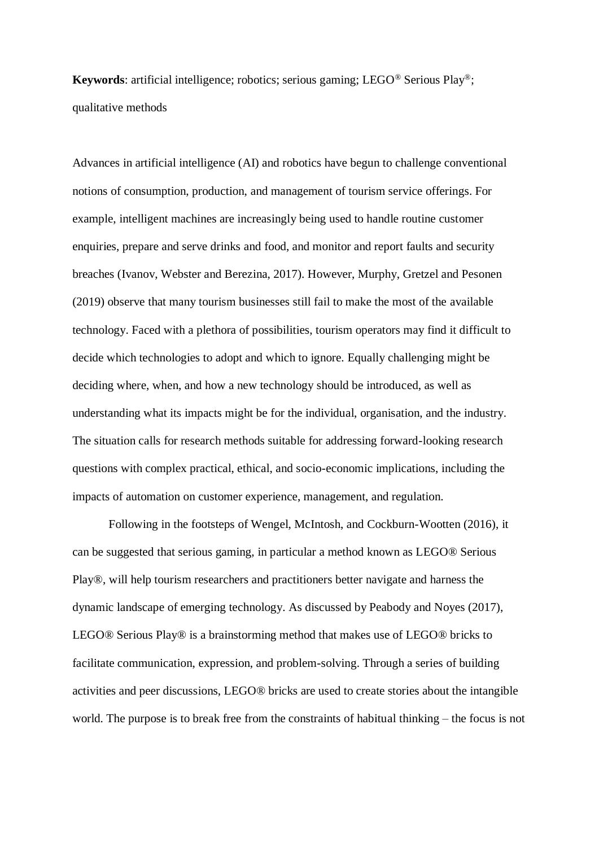**Keywords**: artificial intelligence; robotics; serious gaming; LEGO® Serious Play®; qualitative methods

Advances in artificial intelligence (AI) and robotics have begun to challenge conventional notions of consumption, production, and management of tourism service offerings. For example, intelligent machines are increasingly being used to handle routine customer enquiries, prepare and serve drinks and food, and monitor and report faults and security breaches (Ivanov, Webster and Berezina, 2017). However, Murphy, Gretzel and Pesonen (2019) observe that many tourism businesses still fail to make the most of the available technology. Faced with a plethora of possibilities, tourism operators may find it difficult to decide which technologies to adopt and which to ignore. Equally challenging might be deciding where, when, and how a new technology should be introduced, as well as understanding what its impacts might be for the individual, organisation, and the industry. The situation calls for research methods suitable for addressing forward-looking research questions with complex practical, ethical, and socio-economic implications, including the impacts of automation on customer experience, management, and regulation.

Following in the footsteps of Wengel, McIntosh, and Cockburn-Wootten (2016), it can be suggested that serious gaming, in particular a method known as LEGO® Serious Play®, will help tourism researchers and practitioners better navigate and harness the dynamic landscape of emerging technology. As discussed by Peabody and Noyes (2017), LEGO® Serious Play® is a brainstorming method that makes use of LEGO® bricks to facilitate communication, expression, and problem-solving. Through a series of building activities and peer discussions, LEGO® bricks are used to create stories about the intangible world. The purpose is to break free from the constraints of habitual thinking – the focus is not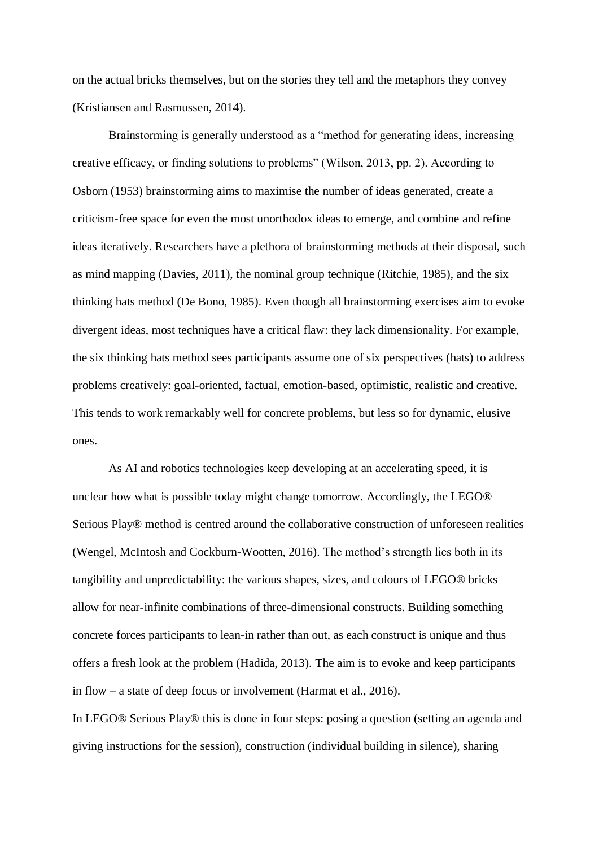on the actual bricks themselves, but on the stories they tell and the metaphors they convey (Kristiansen and Rasmussen, 2014).

Brainstorming is generally understood as a "method for generating ideas, increasing creative efficacy, or finding solutions to problems" (Wilson, 2013, pp. 2). According to Osborn (1953) brainstorming aims to maximise the number of ideas generated, create a criticism-free space for even the most unorthodox ideas to emerge, and combine and refine ideas iteratively. Researchers have a plethora of brainstorming methods at their disposal, such as mind mapping (Davies, 2011), the nominal group technique (Ritchie, 1985), and the six thinking hats method (De Bono, 1985). Even though all brainstorming exercises aim to evoke divergent ideas, most techniques have a critical flaw: they lack dimensionality. For example, the six thinking hats method sees participants assume one of six perspectives (hats) to address problems creatively: goal-oriented, factual, emotion-based, optimistic, realistic and creative. This tends to work remarkably well for concrete problems, but less so for dynamic, elusive ones.

As AI and robotics technologies keep developing at an accelerating speed, it is unclear how what is possible today might change tomorrow. Accordingly, the LEGO® Serious Play® method is centred around the collaborative construction of unforeseen realities (Wengel, McIntosh and Cockburn-Wootten, 2016). The method's strength lies both in its tangibility and unpredictability: the various shapes, sizes, and colours of LEGO® bricks allow for near-infinite combinations of three-dimensional constructs. Building something concrete forces participants to lean-in rather than out, as each construct is unique and thus offers a fresh look at the problem (Hadida, 2013). The aim is to evoke and keep participants in flow – a state of deep focus or involvement (Harmat et al., 2016).

In LEGO® Serious Play® this is done in four steps: posing a question (setting an agenda and giving instructions for the session), construction (individual building in silence), sharing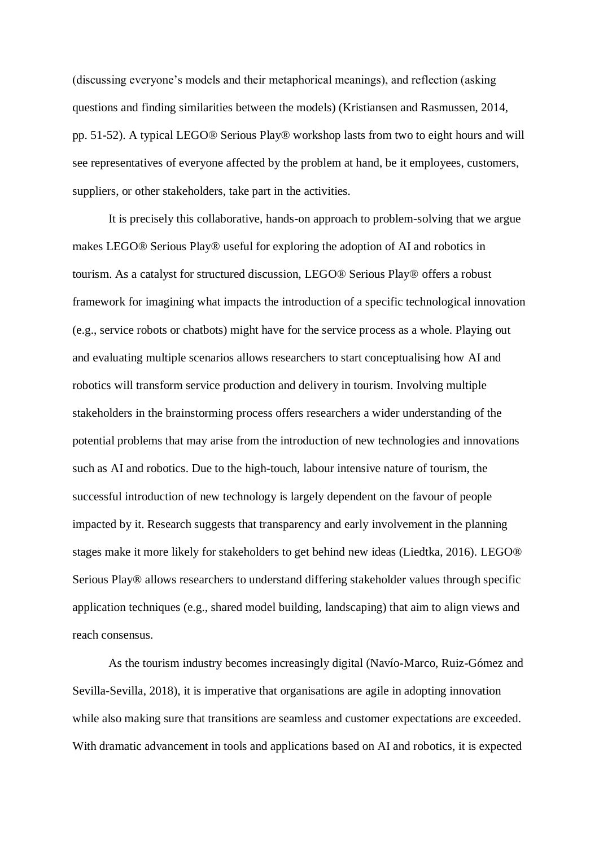(discussing everyone's models and their metaphorical meanings), and reflection (asking questions and finding similarities between the models) (Kristiansen and Rasmussen, 2014, pp. 51-52). A typical LEGO® Serious Play® workshop lasts from two to eight hours and will see representatives of everyone affected by the problem at hand, be it employees, customers, suppliers, or other stakeholders, take part in the activities.

It is precisely this collaborative, hands-on approach to problem-solving that we argue makes LEGO® Serious Play® useful for exploring the adoption of AI and robotics in tourism. As a catalyst for structured discussion, LEGO® Serious Play® offers a robust framework for imagining what impacts the introduction of a specific technological innovation (e.g., service robots or chatbots) might have for the service process as a whole. Playing out and evaluating multiple scenarios allows researchers to start conceptualising how AI and robotics will transform service production and delivery in tourism. Involving multiple stakeholders in the brainstorming process offers researchers a wider understanding of the potential problems that may arise from the introduction of new technologies and innovations such as AI and robotics. Due to the high-touch, labour intensive nature of tourism, the successful introduction of new technology is largely dependent on the favour of people impacted by it. Research suggests that transparency and early involvement in the planning stages make it more likely for stakeholders to get behind new ideas (Liedtka, 2016). LEGO® Serious Play® allows researchers to understand differing stakeholder values through specific application techniques (e.g., shared model building, landscaping) that aim to align views and reach consensus.

As the tourism industry becomes increasingly digital (Navío-Marco, Ruiz-Gómez and Sevilla-Sevilla, 2018), it is imperative that organisations are agile in adopting innovation while also making sure that transitions are seamless and customer expectations are exceeded. With dramatic advancement in tools and applications based on AI and robotics, it is expected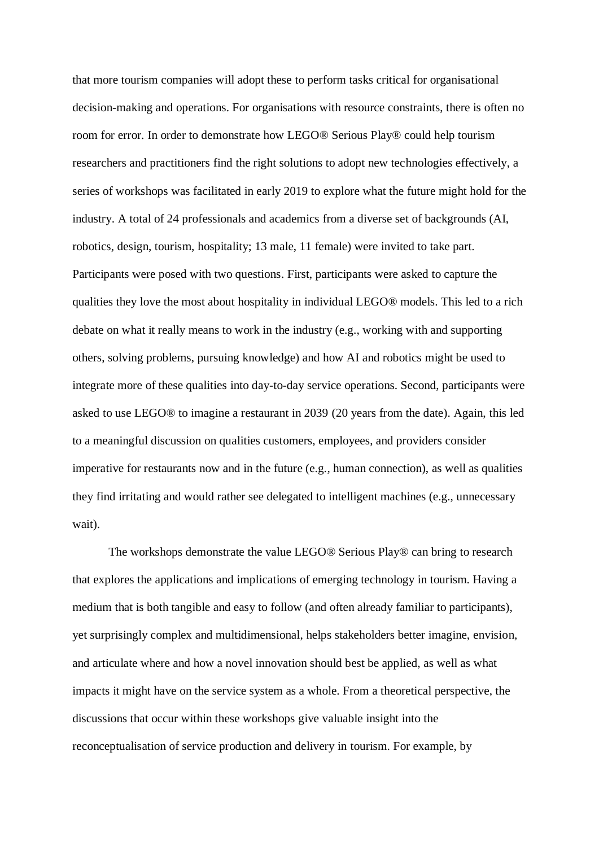that more tourism companies will adopt these to perform tasks critical for organisational decision-making and operations. For organisations with resource constraints, there is often no room for error. In order to demonstrate how LEGO® Serious Play® could help tourism researchers and practitioners find the right solutions to adopt new technologies effectively, a series of workshops was facilitated in early 2019 to explore what the future might hold for the industry. A total of 24 professionals and academics from a diverse set of backgrounds (AI, robotics, design, tourism, hospitality; 13 male, 11 female) were invited to take part. Participants were posed with two questions. First, participants were asked to capture the qualities they love the most about hospitality in individual LEGO® models. This led to a rich debate on what it really means to work in the industry (e.g., working with and supporting others, solving problems, pursuing knowledge) and how AI and robotics might be used to integrate more of these qualities into day-to-day service operations. Second, participants were asked to use LEGO® to imagine a restaurant in 2039 (20 years from the date). Again, this led to a meaningful discussion on qualities customers, employees, and providers consider imperative for restaurants now and in the future (e.g., human connection), as well as qualities they find irritating and would rather see delegated to intelligent machines (e.g., unnecessary wait).

The workshops demonstrate the value LEGO® Serious Play® can bring to research that explores the applications and implications of emerging technology in tourism. Having a medium that is both tangible and easy to follow (and often already familiar to participants), yet surprisingly complex and multidimensional, helps stakeholders better imagine, envision, and articulate where and how a novel innovation should best be applied, as well as what impacts it might have on the service system as a whole. From a theoretical perspective, the discussions that occur within these workshops give valuable insight into the reconceptualisation of service production and delivery in tourism. For example, by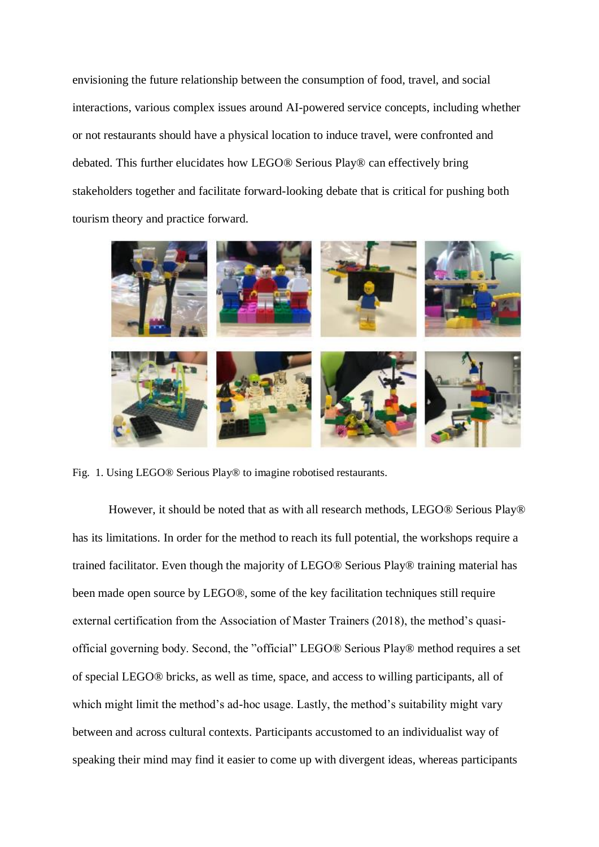envisioning the future relationship between the consumption of food, travel, and social interactions, various complex issues around AI-powered service concepts, including whether or not restaurants should have a physical location to induce travel, were confronted and debated. This further elucidates how LEGO® Serious Play® can effectively bring stakeholders together and facilitate forward-looking debate that is critical for pushing both tourism theory and practice forward.



Fig. 1. Using LEGO® Serious Play® to imagine robotised restaurants.

However, it should be noted that as with all research methods, LEGO® Serious Play® has its limitations. In order for the method to reach its full potential, the workshops require a trained facilitator. Even though the majority of LEGO® Serious Play® training material has been made open source by LEGO®, some of the key facilitation techniques still require external certification from the Association of Master Trainers (2018), the method's quasiofficial governing body. Second, the "official" LEGO® Serious Play® method requires a set of special LEGO® bricks, as well as time, space, and access to willing participants, all of which might limit the method's ad-hoc usage. Lastly, the method's suitability might vary between and across cultural contexts. Participants accustomed to an individualist way of speaking their mind may find it easier to come up with divergent ideas, whereas participants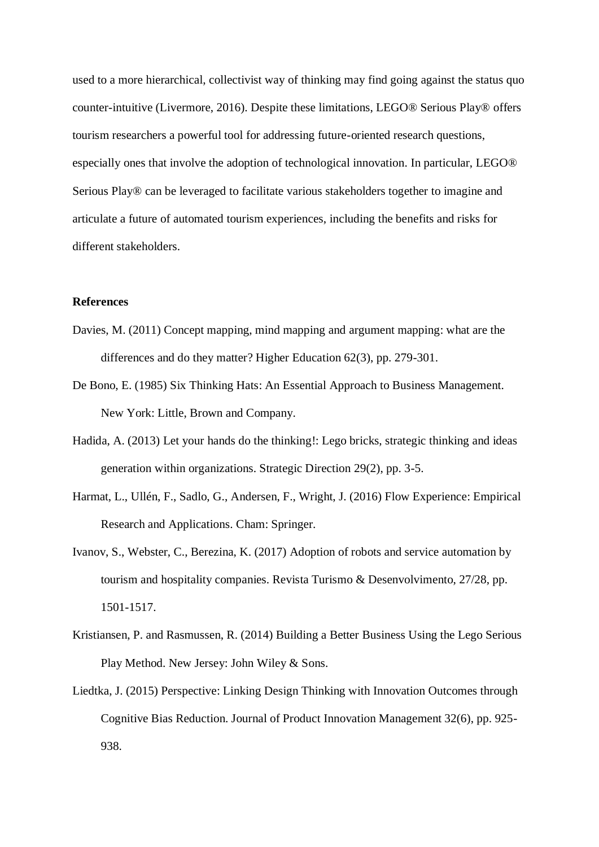used to a more hierarchical, collectivist way of thinking may find going against the status quo counter-intuitive (Livermore, 2016). Despite these limitations, LEGO® Serious Play® offers tourism researchers a powerful tool for addressing future-oriented research questions, especially ones that involve the adoption of technological innovation. In particular, LEGO® Serious Play® can be leveraged to facilitate various stakeholders together to imagine and articulate a future of automated tourism experiences, including the benefits and risks for different stakeholders.

#### **References**

- Davies, M. (2011) Concept mapping, mind mapping and argument mapping: what are the differences and do they matter? Higher Education 62(3), pp. 279-301.
- De Bono, E. (1985) Six Thinking Hats: An Essential Approach to Business Management. New York: Little, Brown and Company.
- Hadida, A. (2013) Let your hands do the thinking!: Lego bricks, strategic thinking and ideas generation within organizations. Strategic Direction 29(2), pp. 3-5.
- Harmat, L., Ullén, F., Sadlo, G., Andersen, F., Wright, J. (2016) Flow Experience: Empirical Research and Applications. Cham: Springer.
- Ivanov, S., Webster, C., Berezina, K. (2017) Adoption of robots and service automation by tourism and hospitality companies. Revista Turismo & Desenvolvimento, 27/28, pp. 1501-1517.
- Kristiansen, P. and Rasmussen, R. (2014) Building a Better Business Using the Lego Serious Play Method. New Jersey: John Wiley & Sons.
- Liedtka, J. (2015) Perspective: Linking Design Thinking with Innovation Outcomes through Cognitive Bias Reduction. Journal of Product Innovation Management 32(6), pp. 925- 938.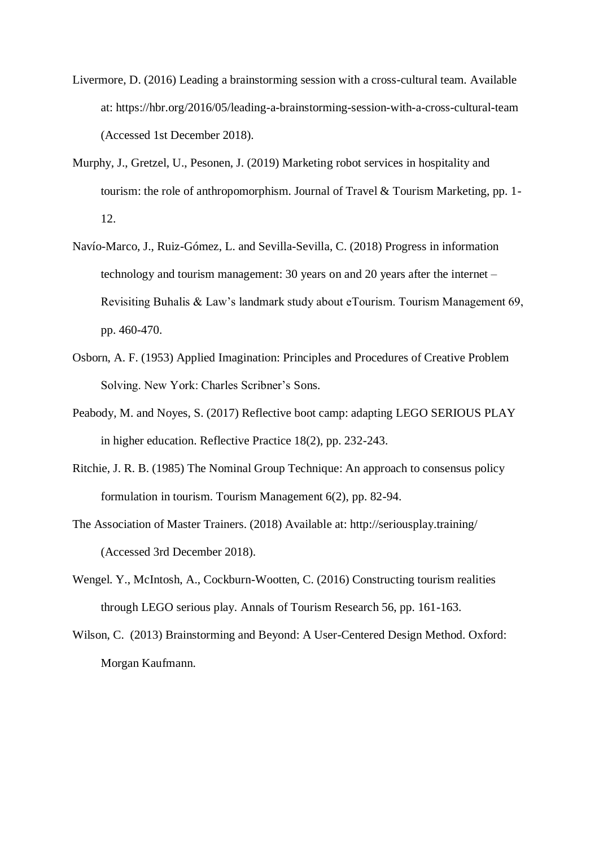- Livermore, D. (2016) Leading a brainstorming session with a cross-cultural team. Available at: https://hbr.org/2016/05/leading-a-brainstorming-session-with-a-cross-cultural-team (Accessed 1st December 2018).
- Murphy, J., Gretzel, U., Pesonen, J. (2019) Marketing robot services in hospitality and tourism: the role of anthropomorphism. Journal of Travel & Tourism Marketing, pp. 1- 12.
- Navío-Marco, J., Ruiz-Gómez, L. and Sevilla-Sevilla, C. (2018) Progress in information technology and tourism management: 30 years on and 20 years after the internet – Revisiting Buhalis & Law's landmark study about eTourism. Tourism Management 69, pp. 460-470.
- Osborn, A. F. (1953) Applied Imagination: Principles and Procedures of Creative Problem Solving. New York: Charles Scribner's Sons.
- Peabody, M. and Noyes, S. (2017) Reflective boot camp: adapting LEGO SERIOUS PLAY in higher education. Reflective Practice 18(2), pp. 232-243.
- Ritchie, J. R. B. (1985) The Nominal Group Technique: An approach to consensus policy formulation in tourism. Tourism Management 6(2), pp. 82-94.
- The Association of Master Trainers. (2018) Available at: http://seriousplay.training/ (Accessed 3rd December 2018).
- Wengel. Y., McIntosh, A., Cockburn-Wootten, C. (2016) Constructing tourism realities through LEGO serious play. Annals of Tourism Research 56, pp. 161-163.
- Wilson, C. (2013) Brainstorming and Beyond: A User-Centered Design Method. Oxford: Morgan Kaufmann.